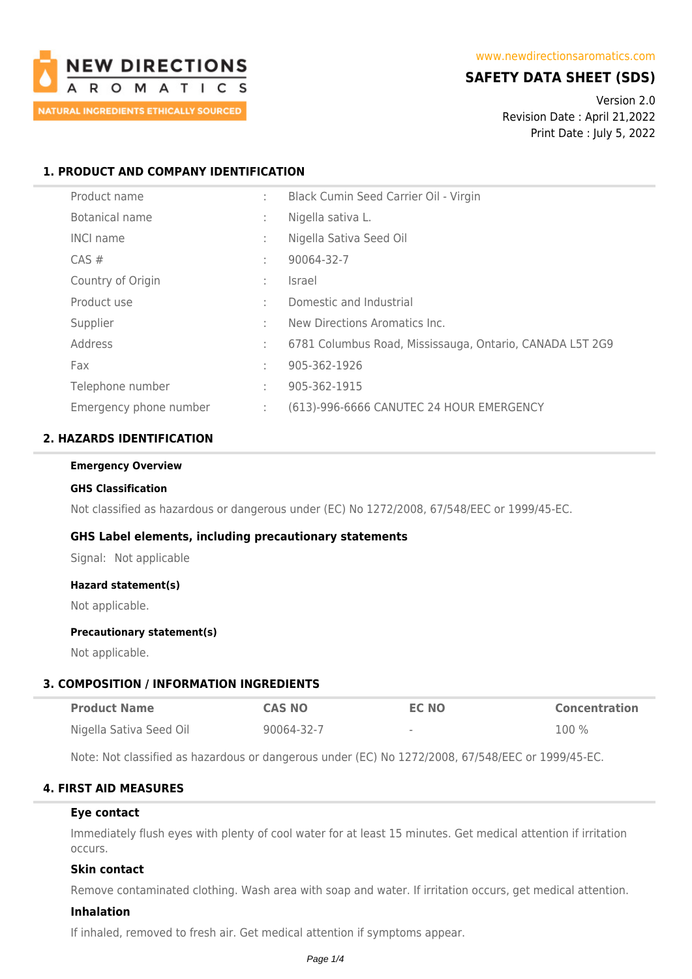

# **SAFETY DATA SHEET (SDS)**

Version 2.0 Revision Date : April 21,2022 Print Date : July 5, 2022

## **1. PRODUCT AND COMPANY IDENTIFICATION**

| Product name           | ÷  | Black Cumin Seed Carrier Oil - Virgin                    |
|------------------------|----|----------------------------------------------------------|
| Botanical name         | ٠  | Nigella sativa L.                                        |
| <b>INCI name</b>       | ٠. | Nigella Sativa Seed Oil                                  |
| $CAS \#$               | ٠  | 90064-32-7                                               |
| Country of Origin      | ٠  | Israel                                                   |
| Product use            | ٠  | Domestic and Industrial                                  |
| Supplier               | ٠  | New Directions Aromatics Inc.                            |
| Address                | ÷  | 6781 Columbus Road, Mississauga, Ontario, CANADA L5T 2G9 |
| Fax                    | ٠  | 905-362-1926                                             |
| Telephone number       | ÷  | 905-362-1915                                             |
| Emergency phone number | ÷  | (613)-996-6666 CANUTEC 24 HOUR EMERGENCY                 |

## **2. HAZARDS IDENTIFICATION**

#### **Emergency Overview**

#### **GHS Classification**

Not classified as hazardous or dangerous under (EC) No 1272/2008, 67/548/EEC or 1999/45-EC.

### **GHS Label elements, including precautionary statements**

Signal: Not applicable

#### **Hazard statement(s)**

Not applicable.

#### **Precautionary statement(s)**

Not applicable.

### **3. COMPOSITION / INFORMATION INGREDIENTS**

| <b>Product Name</b>     | <b>CAS NO</b> | <b>EC NO</b> | <b>Concentration</b> |
|-------------------------|---------------|--------------|----------------------|
| Nigella Sativa Seed Oil | 90064-32-7    | $\,$         | 100%                 |

Note: Not classified as hazardous or dangerous under (EC) No 1272/2008, 67/548/EEC or 1999/45-EC.

## **4. FIRST AID MEASURES**

## **Eye contact**

Immediately flush eyes with plenty of cool water for at least 15 minutes. Get medical attention if irritation occurs.

## **Skin contact**

Remove contaminated clothing. Wash area with soap and water. If irritation occurs, get medical attention.

#### **Inhalation**

If inhaled, removed to fresh air. Get medical attention if symptoms appear.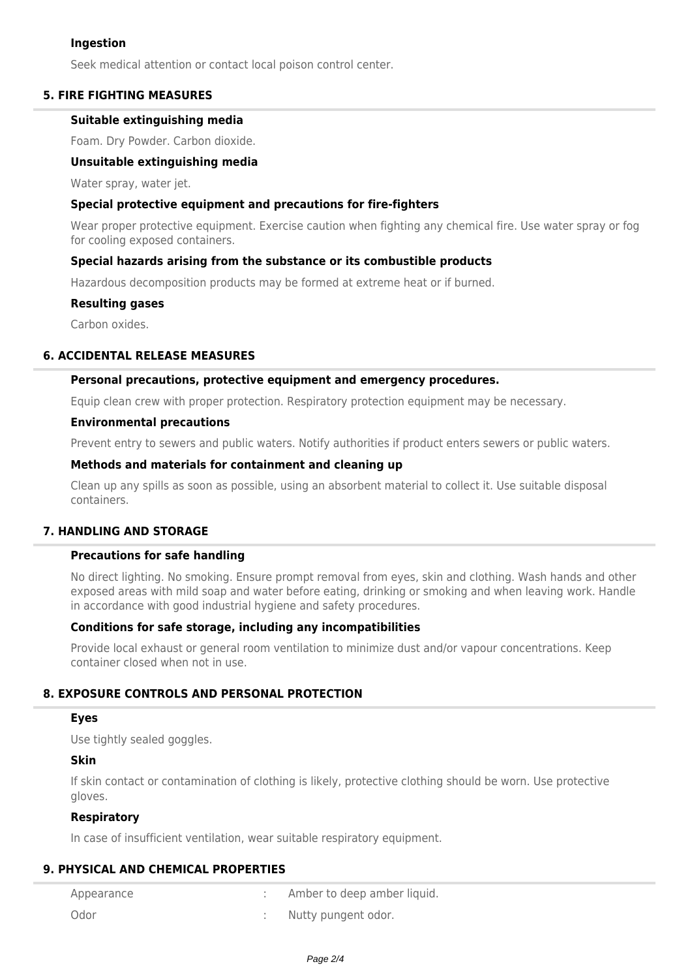## **Ingestion**

Seek medical attention or contact local poison control center.

### **5. FIRE FIGHTING MEASURES**

### **Suitable extinguishing media**

Foam. Dry Powder. Carbon dioxide.

### **Unsuitable extinguishing media**

Water spray, water jet.

#### **Special protective equipment and precautions for fire-fighters**

Wear proper protective equipment. Exercise caution when fighting any chemical fire. Use water spray or fog for cooling exposed containers.

#### **Special hazards arising from the substance or its combustible products**

Hazardous decomposition products may be formed at extreme heat or if burned.

#### **Resulting gases**

Carbon oxides.

### **6. ACCIDENTAL RELEASE MEASURES**

#### **Personal precautions, protective equipment and emergency procedures.**

Equip clean crew with proper protection. Respiratory protection equipment may be necessary.

#### **Environmental precautions**

Prevent entry to sewers and public waters. Notify authorities if product enters sewers or public waters.

### **Methods and materials for containment and cleaning up**

Clean up any spills as soon as possible, using an absorbent material to collect it. Use suitable disposal containers.

## **7. HANDLING AND STORAGE**

## **Precautions for safe handling**

No direct lighting. No smoking. Ensure prompt removal from eyes, skin and clothing. Wash hands and other exposed areas with mild soap and water before eating, drinking or smoking and when leaving work. Handle in accordance with good industrial hygiene and safety procedures.

### **Conditions for safe storage, including any incompatibilities**

Provide local exhaust or general room ventilation to minimize dust and/or vapour concentrations. Keep container closed when not in use.

## **8. EXPOSURE CONTROLS AND PERSONAL PROTECTION**

#### **Eyes**

Use tightly sealed goggles.

### **Skin**

If skin contact or contamination of clothing is likely, protective clothing should be worn. Use protective gloves.

### **Respiratory**

In case of insufficient ventilation, wear suitable respiratory equipment.

### **9. PHYSICAL AND CHEMICAL PROPERTIES**

| Appearance | Amber to deep amber liquid. |
|------------|-----------------------------|
| Odor       | Nutty pungent odor.         |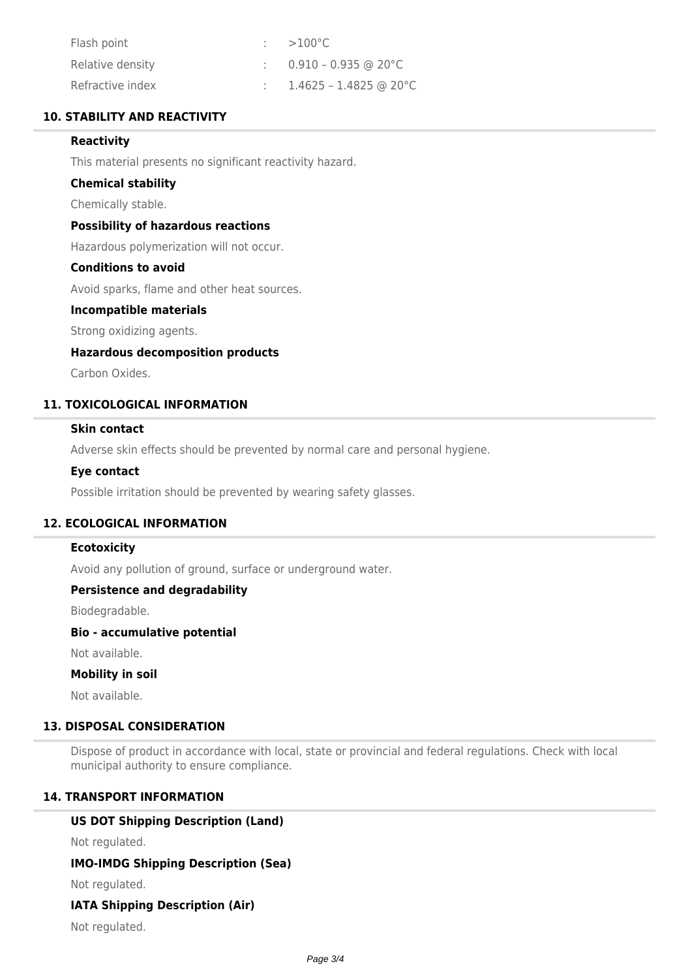| Flash point      | $100^{\circ}$ C                    |
|------------------|------------------------------------|
| Relative density | $\therefore$ 0.910 – 0.935 @ 20 °C |
| Refractive index | 1.4625 - 1.4825 @ 20°C             |

## **10. STABILITY AND REACTIVITY**

### **Reactivity**

This material presents no significant reactivity hazard.

#### **Chemical stability**

Chemically stable.

### **Possibility of hazardous reactions**

Hazardous polymerization will not occur.

### **Conditions to avoid**

Avoid sparks, flame and other heat sources.

#### **Incompatible materials**

Strong oxidizing agents.

### **Hazardous decomposition products**

Carbon Oxides.

## **11. TOXICOLOGICAL INFORMATION**

## **Skin contact**

Adverse skin effects should be prevented by normal care and personal hygiene.

#### **Eye contact**

Possible irritation should be prevented by wearing safety glasses.

### **12. ECOLOGICAL INFORMATION**

### **Ecotoxicity**

Avoid any pollution of ground, surface or underground water.

### **Persistence and degradability**

Biodegradable.

#### **Bio - accumulative potential**

Not available.

#### **Mobility in soil**

Not available.

## **13. DISPOSAL CONSIDERATION**

Dispose of product in accordance with local, state or provincial and federal regulations. Check with local municipal authority to ensure compliance.

### **14. TRANSPORT INFORMATION**

## **US DOT Shipping Description (Land)**

Not regulated.

### **IMO-IMDG Shipping Description (Sea)**

Not regulated.

#### **IATA Shipping Description (Air)**

Not regulated.